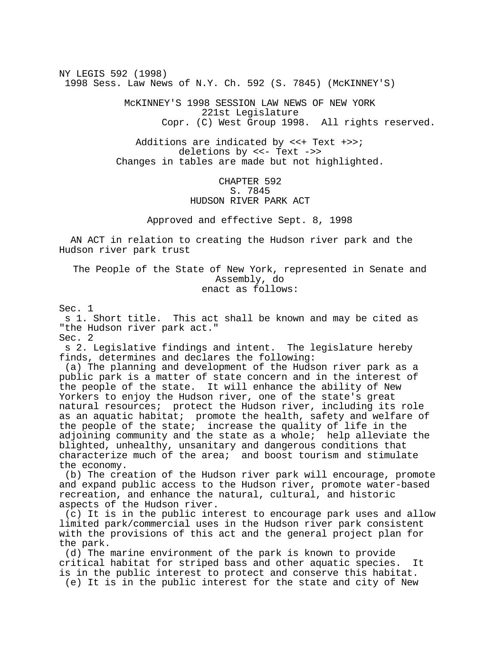NY LEGIS 592 (1998) 1998 Sess. Law News of N.Y. Ch. 592 (S. 7845) (McKINNEY'S)

> McKINNEY'S 1998 SESSION LAW NEWS OF NEW YORK 221st Legislature Copr. (C) West Group 1998. All rights reserved.

Additions are indicated by <<+ Text +>>; deletions by <<- Text ->> Changes in tables are made but not highlighted.

## CHAPTER 592 S. 7845 HUDSON RIVER PARK ACT

Approved and effective Sept. 8, 1998

 AN ACT in relation to creating the Hudson river park and the Hudson river park trust

The People of the State of New York, represented in Senate and Assembly, do enact as follows:

Sec. 1

 s 1. Short title. This act shall be known and may be cited as "the Hudson river park act." Sec. 2

 s 2. Legislative findings and intent. The legislature hereby finds, determines and declares the following:

 (a) The planning and development of the Hudson river park as a public park is a matter of state concern and in the interest of the people of the state. It will enhance the ability of New Yorkers to enjoy the Hudson river, one of the state's great natural resources; protect the Hudson river, including its role as an aquatic habitat; promote the health, safety and welfare of the people of the state; increase the quality of life in the adjoining community and the state as a whole; help alleviate the blighted, unhealthy, unsanitary and dangerous conditions that characterize much of the area; and boost tourism and stimulate the economy.

 (b) The creation of the Hudson river park will encourage, promote and expand public access to the Hudson river, promote water-based recreation, and enhance the natural, cultural, and historic aspects of the Hudson river.

 (c) It is in the public interest to encourage park uses and allow limited park/commercial uses in the Hudson river park consistent with the provisions of this act and the general project plan for the park.

 (d) The marine environment of the park is known to provide critical habitat for striped bass and other aquatic species. It is in the public interest to protect and conserve this habitat. (e) It is in the public interest for the state and city of New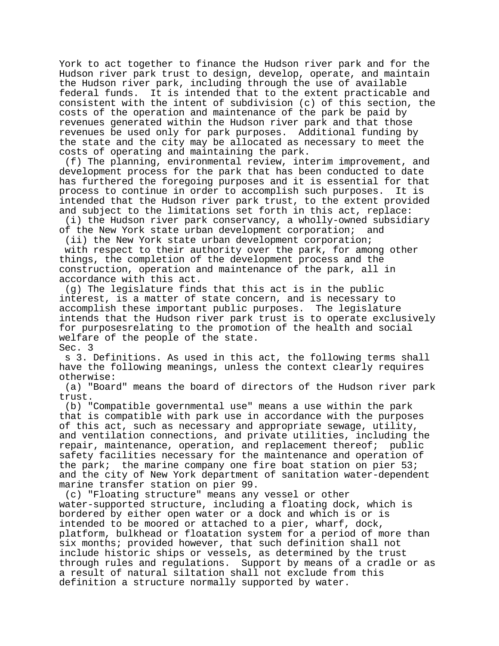York to act together to finance the Hudson river park and for the Hudson river park trust to design, develop, operate, and maintain the Hudson river park, including through the use of available federal funds. It is intended that to the extent practicable and consistent with the intent of subdivision (c) of this section, the costs of the operation and maintenance of the park be paid by revenues generated within the Hudson river park and that those revenues be used only for park purposes. Additional funding by the state and the city may be allocated as necessary to meet the costs of operating and maintaining the park.

 (f) The planning, environmental review, interim improvement, and development process for the park that has been conducted to date has furthered the foregoing purposes and it is essential for that process to continue in order to accomplish such purposes. It is intended that the Hudson river park trust, to the extent provided and subject to the limitations set forth in this act, replace:

 (i) the Hudson river park conservancy, a wholly-owned subsidiary of the New York state urban development corporation; and

 (ii) the New York state urban development corporation; with respect to their authority over the park, for among other things, the completion of the development process and the construction, operation and maintenance of the park, all in accordance with this act.

 (g) The legislature finds that this act is in the public interest, is a matter of state concern, and is necessary to accomplish these important public purposes. The legislature intends that the Hudson river park trust is to operate exclusively for purposesrelating to the promotion of the health and social welfare of the people of the state. Sec. 3

 s 3. Definitions. As used in this act, the following terms shall have the following meanings, unless the context clearly requires otherwise:

 (a) "Board" means the board of directors of the Hudson river park trust.

 (b) "Compatible governmental use" means a use within the park that is compatible with park use in accordance with the purposes of this act, such as necessary and appropriate sewage, utility, and ventilation connections, and private utilities, including the repair, maintenance, operation, and replacement thereof; public safety facilities necessary for the maintenance and operation of the park; the marine company one fire boat station on pier 53; and the city of New York department of sanitation water-dependent marine transfer station on pier 99.

 (c) "Floating structure" means any vessel or other water-supported structure, including a floating dock, which is bordered by either open water or a dock and which is or is intended to be moored or attached to a pier, wharf, dock, platform, bulkhead or floatation system for a period of more than six months; provided however, that such definition shall not include historic ships or vessels, as determined by the trust through rules and regulations. Support by means of a cradle or as a result of natural siltation shall not exclude from this definition a structure normally supported by water.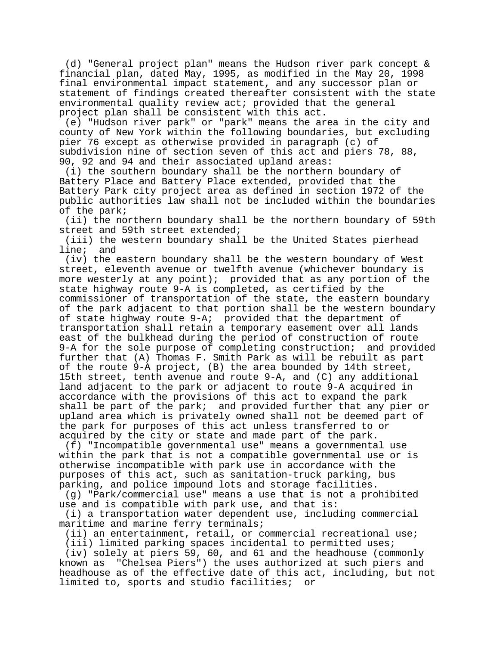(d) "General project plan" means the Hudson river park concept & financial plan, dated May, 1995, as modified in the May 20, 1998 final environmental impact statement, and any successor plan or statement of findings created thereafter consistent with the state environmental quality review act; provided that the general project plan shall be consistent with this act.

 (e) "Hudson river park" or "park" means the area in the city and county of New York within the following boundaries, but excluding pier 76 except as otherwise provided in paragraph (c) of subdivision nine of section seven of this act and piers 78, 88, 90, 92 and 94 and their associated upland areas:

 (i) the southern boundary shall be the northern boundary of Battery Place and Battery Place extended, provided that the Battery Park city project area as defined in section 1972 of the public authorities law shall not be included within the boundaries of the park;

 (ii) the northern boundary shall be the northern boundary of 59th street and 59th street extended;

 (iii) the western boundary shall be the United States pierhead line; and

 (iv) the eastern boundary shall be the western boundary of West street, eleventh avenue or twelfth avenue (whichever boundary is more westerly at any point); provided that as any portion of the state highway route 9-A is completed, as certified by the commissioner of transportation of the state, the eastern boundary of the park adjacent to that portion shall be the western boundary of state highway route 9-A; provided that the department of transportation shall retain a temporary easement over all lands east of the bulkhead during the period of construction of route 9-A for the sole purpose of completing construction; and provided further that (A) Thomas F. Smith Park as will be rebuilt as part of the route 9-A project, (B) the area bounded by 14th street, 15th street, tenth avenue and route 9-A, and (C) any additional land adjacent to the park or adjacent to route 9-A acquired in accordance with the provisions of this act to expand the park shall be part of the park; and provided further that any pier or upland area which is privately owned shall not be deemed part of the park for purposes of this act unless transferred to or acquired by the city or state and made part of the park.

 (f) "Incompatible governmental use" means a governmental use within the park that is not a compatible governmental use or is otherwise incompatible with park use in accordance with the purposes of this act, such as sanitation-truck parking, bus parking, and police impound lots and storage facilities.

 (g) "Park/commercial use" means a use that is not a prohibited use and is compatible with park use, and that is:

 (i) a transportation water dependent use, including commercial maritime and marine ferry terminals;

(ii) an entertainment, retail, or commercial recreational use;

(iii) limited parking spaces incidental to permitted uses;

 (iv) solely at piers 59, 60, and 61 and the headhouse (commonly known as "Chelsea Piers") the uses authorized at such piers and headhouse as of the effective date of this act, including, but not limited to, sports and studio facilities; or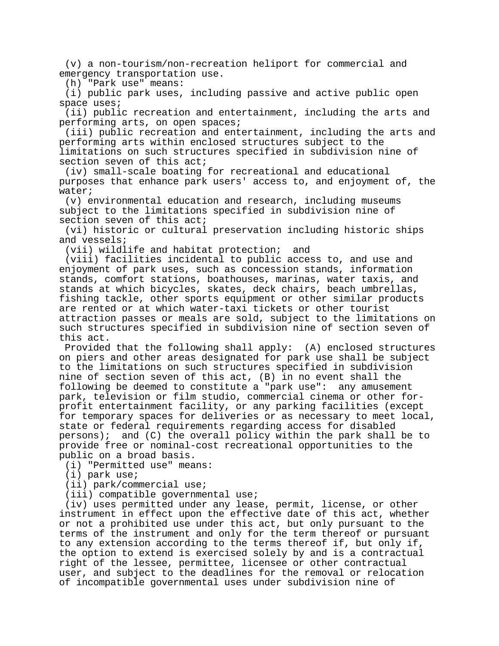(v) a non-tourism/non-recreation heliport for commercial and emergency transportation use.

(h) "Park use" means:

 (i) public park uses, including passive and active public open space uses;

 (ii) public recreation and entertainment, including the arts and performing arts, on open spaces;

 (iii) public recreation and entertainment, including the arts and performing arts within enclosed structures subject to the limitations on such structures specified in subdivision nine of section seven of this act;

 (iv) small-scale boating for recreational and educational purposes that enhance park users' access to, and enjoyment of, the water;

 (v) environmental education and research, including museums subject to the limitations specified in subdivision nine of section seven of this act;

 (vi) historic or cultural preservation including historic ships and vessels;

(vii) wildlife and habitat protection; and

 (viii) facilities incidental to public access to, and use and enjoyment of park uses, such as concession stands, information stands, comfort stations, boathouses, marinas, water taxis, and stands at which bicycles, skates, deck chairs, beach umbrellas, fishing tackle, other sports equipment or other similar products are rented or at which water-taxi tickets or other tourist attraction passes or meals are sold, subject to the limitations on such structures specified in subdivision nine of section seven of this act.

 Provided that the following shall apply: (A) enclosed structures on piers and other areas designated for park use shall be subject to the limitations on such structures specified in subdivision nine of section seven of this act, (B) in no event shall the following be deemed to constitute a "park use": any amusement park, television or film studio, commercial cinema or other forprofit entertainment facility, or any parking facilities (except for temporary spaces for deliveries or as necessary to meet local, state or federal requirements regarding access for disabled persons); and (C) the overall policy within the park shall be to provide free or nominal-cost recreational opportunities to the public on a broad basis.

(i) "Permitted use" means:

(i) park use;

(ii) park/commercial use;

(iii) compatible governmental use;

 (iv) uses permitted under any lease, permit, license, or other instrument in effect upon the effective date of this act, whether or not a prohibited use under this act, but only pursuant to the terms of the instrument and only for the term thereof or pursuant to any extension according to the terms thereof if, but only if, the option to extend is exercised solely by and is a contractual right of the lessee, permittee, licensee or other contractual user, and subject to the deadlines for the removal or relocation of incompatible governmental uses under subdivision nine of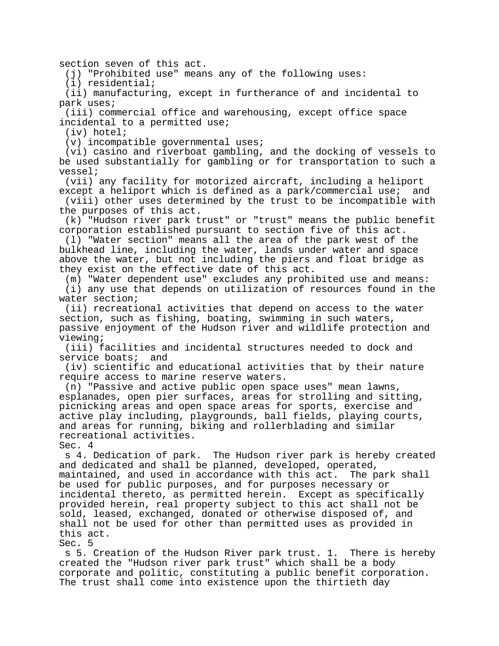section seven of this act.

(j) "Prohibited use" means any of the following uses:

(i) residential;

 (ii) manufacturing, except in furtherance of and incidental to park uses;

 (iii) commercial office and warehousing, except office space incidental to a permitted use;

(iv) hotel;

(v) incompatible governmental uses;

 (vi) casino and riverboat gambling, and the docking of vessels to be used substantially for gambling or for transportation to such a vessel;

 (vii) any facility for motorized aircraft, including a heliport except a heliport which is defined as a park/commercial use; and

 (viii) other uses determined by the trust to be incompatible with the purposes of this act.

 (k) "Hudson river park trust" or "trust" means the public benefit corporation established pursuant to section five of this act.

 (l) "Water section" means all the area of the park west of the bulkhead line, including the water, lands under water and space above the water, but not including the piers and float bridge as they exist on the effective date of this act.

 (m) "Water dependent use" excludes any prohibited use and means: (i) any use that depends on utilization of resources found in the water section;

 (ii) recreational activities that depend on access to the water section, such as fishing, boating, swimming in such waters, passive enjoyment of the Hudson river and wildlife protection and viewing;

 (iii) facilities and incidental structures needed to dock and service boats; and

 (iv) scientific and educational activities that by their nature require access to marine reserve waters.

 (n) "Passive and active public open space uses" mean lawns, esplanades, open pier surfaces, areas for strolling and sitting, picnicking areas and open space areas for sports, exercise and active play including, playgrounds, ball fields, playing courts, and areas for running, biking and rollerblading and similar recreational activities. Sec. 4

 s 4. Dedication of park. The Hudson river park is hereby created and dedicated and shall be planned, developed, operated, maintained, and used in accordance with this act. The park shall be used for public purposes, and for purposes necessary or incidental thereto, as permitted herein. Except as specifically provided herein, real property subject to this act shall not be sold, leased, exchanged, donated or otherwise disposed of, and shall not be used for other than permitted uses as provided in this act.

Sec. 5

 s 5. Creation of the Hudson River park trust. 1. There is hereby created the "Hudson river park trust" which shall be a body corporate and politic, constituting a public benefit corporation. The trust shall come into existence upon the thirtieth day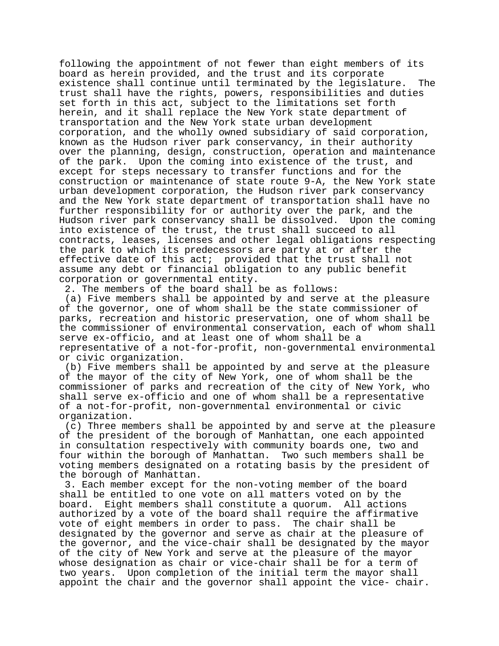following the appointment of not fewer than eight members of its board as herein provided, and the trust and its corporate existence shall continue until terminated by the legislature. The trust shall have the rights, powers, responsibilities and duties set forth in this act, subject to the limitations set forth herein, and it shall replace the New York state department of transportation and the New York state urban development corporation, and the wholly owned subsidiary of said corporation, known as the Hudson river park conservancy, in their authority over the planning, design, construction, operation and maintenance of the park. Upon the coming into existence of the trust, and except for steps necessary to transfer functions and for the construction or maintenance of state route 9-A, the New York state urban development corporation, the Hudson river park conservancy and the New York state department of transportation shall have no further responsibility for or authority over the park, and the Hudson river park conservancy shall be dissolved. Upon the coming into existence of the trust, the trust shall succeed to all contracts, leases, licenses and other legal obligations respecting the park to which its predecessors are party at or after the effective date of this act; provided that the trust shall not assume any debt or financial obligation to any public benefit corporation or governmental entity.

2. The members of the board shall be as follows:

 (a) Five members shall be appointed by and serve at the pleasure of the governor, one of whom shall be the state commissioner of parks, recreation and historic preservation, one of whom shall be the commissioner of environmental conservation, each of whom shall serve ex-officio, and at least one of whom shall be a representative of a not-for-profit, non-governmental environmental or civic organization.

 (b) Five members shall be appointed by and serve at the pleasure of the mayor of the city of New York, one of whom shall be the commissioner of parks and recreation of the city of New York, who shall serve ex-officio and one of whom shall be a representative of a not-for-profit, non-governmental environmental or civic organization.

 (c) Three members shall be appointed by and serve at the pleasure of the president of the borough of Manhattan, one each appointed in consultation respectively with community boards one, two and four within the borough of Manhattan. Two such members shall be voting members designated on a rotating basis by the president of the borough of Manhattan.

 3. Each member except for the non-voting member of the board shall be entitled to one vote on all matters voted on by the board. Eight members shall constitute a quorum. All actions authorized by a vote of the board shall require the affirmative vote of eight members in order to pass. The chair shall be designated by the governor and serve as chair at the pleasure of the governor, and the vice-chair shall be designated by the mayor of the city of New York and serve at the pleasure of the mayor whose designation as chair or vice-chair shall be for a term of two years. Upon completion of the initial term the mayor shall appoint the chair and the governor shall appoint the vice- chair.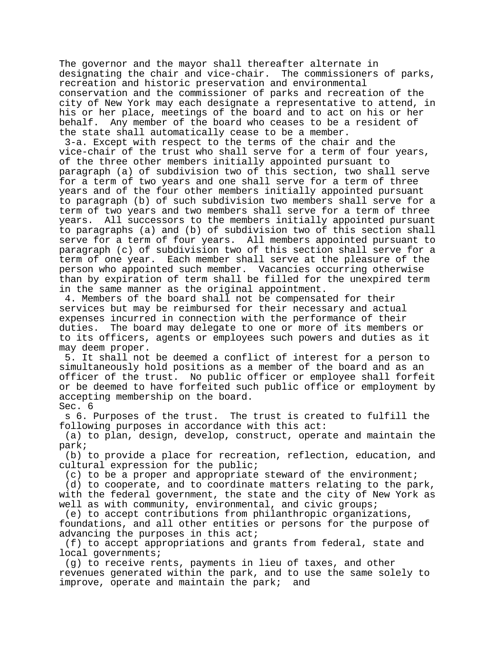The governor and the mayor shall thereafter alternate in designating the chair and vice-chair. The commissioners of parks, recreation and historic preservation and environmental conservation and the commissioner of parks and recreation of the city of New York may each designate a representative to attend, in his or her place, meetings of the board and to act on his or her behalf. Any member of the board who ceases to be a resident of the state shall automatically cease to be a member.

 3-a. Except with respect to the terms of the chair and the vice-chair of the trust who shall serve for a term of four years, of the three other members initially appointed pursuant to paragraph (a) of subdivision two of this section, two shall serve for a term of two years and one shall serve for a term of three years and of the four other members initially appointed pursuant to paragraph (b) of such subdivision two members shall serve for a term of two years and two members shall serve for a term of three years. All successors to the members initially appointed pursuant to paragraphs (a) and (b) of subdivision two of this section shall serve for a term of four years. All members appointed pursuant to paragraph (c) of subdivision two of this section shall serve for a term of one year. Each member shall serve at the pleasure of the person who appointed such member. Vacancies occurring otherwise than by expiration of term shall be filled for the unexpired term in the same manner as the original appointment.

 4. Members of the board shall not be compensated for their services but may be reimbursed for their necessary and actual expenses incurred in connection with the performance of their duties. The board may delegate to one or more of its members or to its officers, agents or employees such powers and duties as it may deem proper.

 5. It shall not be deemed a conflict of interest for a person to simultaneously hold positions as a member of the board and as an officer of the trust. No public officer or employee shall forfeit or be deemed to have forfeited such public office or employment by accepting membership on the board. Sec. 6

 s 6. Purposes of the trust. The trust is created to fulfill the following purposes in accordance with this act:

 (a) to plan, design, develop, construct, operate and maintain the park;

 (b) to provide a place for recreation, reflection, education, and cultural expression for the public;

(c) to be a proper and appropriate steward of the environment;

 (d) to cooperate, and to coordinate matters relating to the park, with the federal government, the state and the city of New York as well as with community, environmental, and civic groups;

 (e) to accept contributions from philanthropic organizations, foundations, and all other entities or persons for the purpose of advancing the purposes in this act;

 (f) to accept appropriations and grants from federal, state and local governments;

 (g) to receive rents, payments in lieu of taxes, and other revenues generated within the park, and to use the same solely to improve, operate and maintain the park; and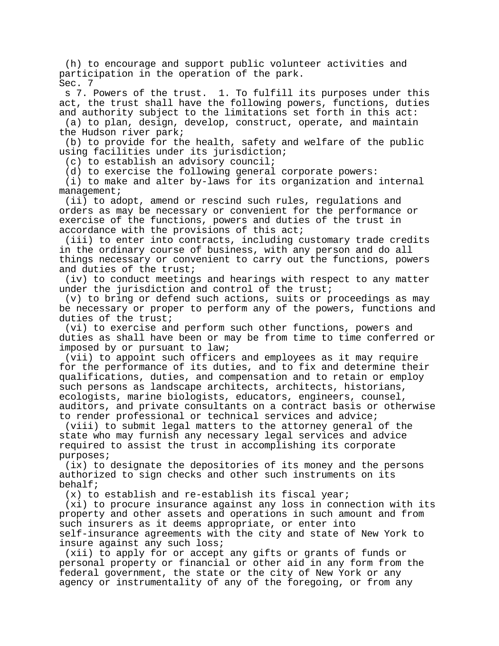(h) to encourage and support public volunteer activities and participation in the operation of the park. Sec. 7

 s 7. Powers of the trust. 1. To fulfill its purposes under this act, the trust shall have the following powers, functions, duties and authority subject to the limitations set forth in this act:

 (a) to plan, design, develop, construct, operate, and maintain the Hudson river park;

 (b) to provide for the health, safety and welfare of the public using facilities under its jurisdiction;

(c) to establish an advisory council;

(d) to exercise the following general corporate powers:

 (i) to make and alter by-laws for its organization and internal management;

 (ii) to adopt, amend or rescind such rules, regulations and orders as may be necessary or convenient for the performance or exercise of the functions, powers and duties of the trust in accordance with the provisions of this act;

 (iii) to enter into contracts, including customary trade credits in the ordinary course of business, with any person and do all things necessary or convenient to carry out the functions, powers and duties of the trust;

 (iv) to conduct meetings and hearings with respect to any matter under the jurisdiction and control of the trust;

 (v) to bring or defend such actions, suits or proceedings as may be necessary or proper to perform any of the powers, functions and duties of the trust;

 (vi) to exercise and perform such other functions, powers and duties as shall have been or may be from time to time conferred or imposed by or pursuant to law;

 (vii) to appoint such officers and employees as it may require for the performance of its duties, and to fix and determine their qualifications, duties, and compensation and to retain or employ such persons as landscape architects, architects, historians, ecologists, marine biologists, educators, engineers, counsel, auditors, and private consultants on a contract basis or otherwise to render professional or technical services and advice;

 (viii) to submit legal matters to the attorney general of the state who may furnish any necessary legal services and advice required to assist the trust in accomplishing its corporate purposes;

 (ix) to designate the depositories of its money and the persons authorized to sign checks and other such instruments on its behalf;

(x) to establish and re-establish its fiscal year;

 (xi) to procure insurance against any loss in connection with its property and other assets and operations in such amount and from such insurers as it deems appropriate, or enter into self-insurance agreements with the city and state of New York to insure against any such loss;

 (xii) to apply for or accept any gifts or grants of funds or personal property or financial or other aid in any form from the federal government, the state or the city of New York or any agency or instrumentality of any of the foregoing, or from any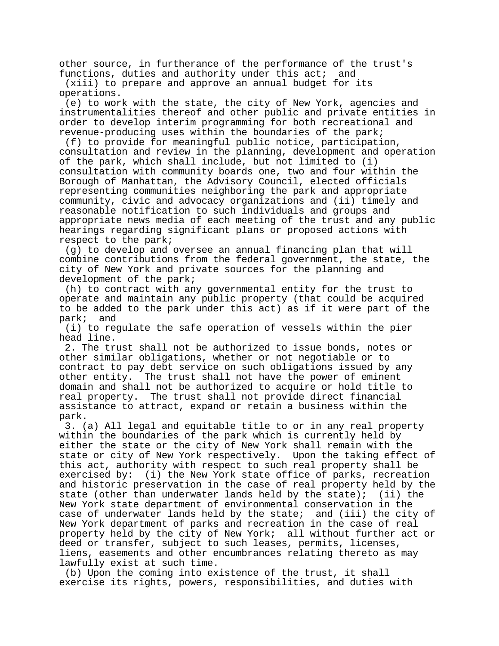other source, in furtherance of the performance of the trust's functions, duties and authority under this act; and

 (xiii) to prepare and approve an annual budget for its operations.

 (e) to work with the state, the city of New York, agencies and instrumentalities thereof and other public and private entities in order to develop interim programming for both recreational and revenue-producing uses within the boundaries of the park;

 (f) to provide for meaningful public notice, participation, consultation and review in the planning, development and operation of the park, which shall include, but not limited to (i) consultation with community boards one, two and four within the Borough of Manhattan, the Advisory Council, elected officials representing communities neighboring the park and appropriate community, civic and advocacy organizations and (ii) timely and reasonable notification to such individuals and groups and appropriate news media of each meeting of the trust and any public hearings regarding significant plans or proposed actions with respect to the park;

 (g) to develop and oversee an annual financing plan that will combine contributions from the federal government, the state, the city of New York and private sources for the planning and development of the park;

 (h) to contract with any governmental entity for the trust to operate and maintain any public property (that could be acquired to be added to the park under this act) as if it were part of the park; and

 (i) to regulate the safe operation of vessels within the pier head line.

 2. The trust shall not be authorized to issue bonds, notes or other similar obligations, whether or not negotiable or to contract to pay debt service on such obligations issued by any other entity. The trust shall not have the power of eminent domain and shall not be authorized to acquire or hold title to real property. The trust shall not provide direct financial assistance to attract, expand or retain a business within the park.

 3. (a) All legal and equitable title to or in any real property within the boundaries of the park which is currently held by either the state or the city of New York shall remain with the state or city of New York respectively. Upon the taking effect of this act, authority with respect to such real property shall be exercised by: (i) the New York state office of parks, recreation and historic preservation in the case of real property held by the state (other than underwater lands held by the state); (ii) the New York state department of environmental conservation in the case of underwater lands held by the state; and (iii) the city of New York department of parks and recreation in the case of real property held by the city of New York; all without further act or deed or transfer, subject to such leases, permits, licenses, liens, easements and other encumbrances relating thereto as may lawfully exist at such time.

 (b) Upon the coming into existence of the trust, it shall exercise its rights, powers, responsibilities, and duties with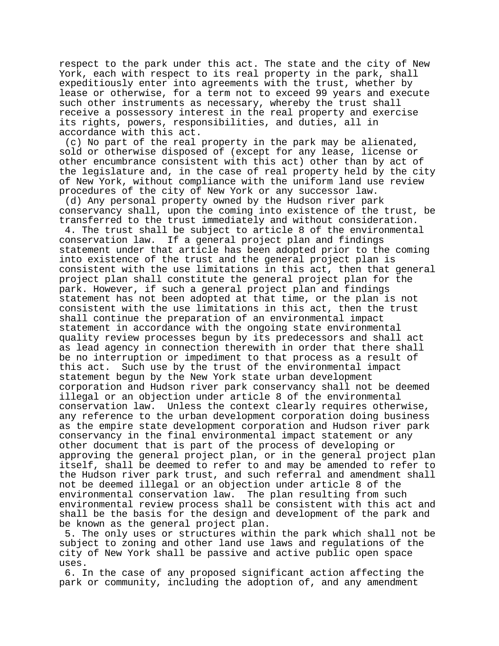respect to the park under this act. The state and the city of New York, each with respect to its real property in the park, shall expeditiously enter into agreements with the trust, whether by lease or otherwise, for a term not to exceed 99 years and execute such other instruments as necessary, whereby the trust shall receive a possessory interest in the real property and exercise its rights, powers, responsibilities, and duties, all in accordance with this act.

 (c) No part of the real property in the park may be alienated, sold or otherwise disposed of (except for any lease, license or other encumbrance consistent with this act) other than by act of the legislature and, in the case of real property held by the city of New York, without compliance with the uniform land use review procedures of the city of New York or any successor law.

 (d) Any personal property owned by the Hudson river park conservancy shall, upon the coming into existence of the trust, be transferred to the trust immediately and without consideration. 4. The trust shall be subject to article 8 of the environmental conservation law. If a general project plan and findings statement under that article has been adopted prior to the coming into existence of the trust and the general project plan is consistent with the use limitations in this act, then that general project plan shall constitute the general project plan for the park. However, if such a general project plan and findings statement has not been adopted at that time, or the plan is not consistent with the use limitations in this act, then the trust shall continue the preparation of an environmental impact statement in accordance with the ongoing state environmental quality review processes begun by its predecessors and shall act as lead agency in connection therewith in order that there shall be no interruption or impediment to that process as a result of this act. Such use by the trust of the environmental impact Such use by the trust of the environmental impact statement begun by the New York state urban development corporation and Hudson river park conservancy shall not be deemed illegal or an objection under article 8 of the environmental conservation law. Unless the context clearly requires otherwise, any reference to the urban development corporation doing business as the empire state development corporation and Hudson river park conservancy in the final environmental impact statement or any other document that is part of the process of developing or approving the general project plan, or in the general project plan itself, shall be deemed to refer to and may be amended to refer to the Hudson river park trust, and such referral and amendment shall not be deemed illegal or an objection under article 8 of the environmental conservation law. The plan resulting from such environmental review process shall be consistent with this act and shall be the basis for the design and development of the park and be known as the general project plan.

 5. The only uses or structures within the park which shall not be subject to zoning and other land use laws and regulations of the city of New York shall be passive and active public open space uses.

 6. In the case of any proposed significant action affecting the park or community, including the adoption of, and any amendment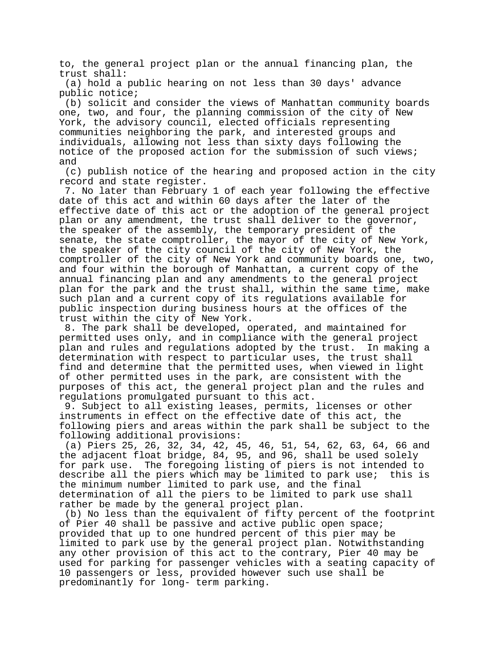to, the general project plan or the annual financing plan, the trust shall:

 (a) hold a public hearing on not less than 30 days' advance public notice;

 (b) solicit and consider the views of Manhattan community boards one, two, and four, the planning commission of the city of New York, the advisory council, elected officials representing communities neighboring the park, and interested groups and individuals, allowing not less than sixty days following the notice of the proposed action for the submission of such views; and

 (c) publish notice of the hearing and proposed action in the city record and state register.

 7. No later than February 1 of each year following the effective date of this act and within 60 days after the later of the effective date of this act or the adoption of the general project plan or any amendment, the trust shall deliver to the governor, the speaker of the assembly, the temporary president of the senate, the state comptroller, the mayor of the city of New York, the speaker of the city council of the city of New York, the comptroller of the city of New York and community boards one, two, and four within the borough of Manhattan, a current copy of the annual financing plan and any amendments to the general project plan for the park and the trust shall, within the same time, make such plan and a current copy of its regulations available for public inspection during business hours at the offices of the trust within the city of New York.

 8. The park shall be developed, operated, and maintained for permitted uses only, and in compliance with the general project plan and rules and regulations adopted by the trust. In making a determination with respect to particular uses, the trust shall find and determine that the permitted uses, when viewed in light of other permitted uses in the park, are consistent with the purposes of this act, the general project plan and the rules and regulations promulgated pursuant to this act.

 9. Subject to all existing leases, permits, licenses or other instruments in effect on the effective date of this act, the following piers and areas within the park shall be subject to the following additional provisions:

 (a) Piers 25, 26, 32, 34, 42, 45, 46, 51, 54, 62, 63, 64, 66 and the adjacent float bridge, 84, 95, and 96, shall be used solely for park use. The foregoing listing of piers is not intended to describe all the piers which may be limited to park use; this is the minimum number limited to park use, and the final determination of all the piers to be limited to park use shall rather be made by the general project plan.

 (b) No less than the equivalent of fifty percent of the footprint of Pier 40 shall be passive and active public open space; provided that up to one hundred percent of this pier may be limited to park use by the general project plan. Notwithstanding any other provision of this act to the contrary, Pier 40 may be used for parking for passenger vehicles with a seating capacity of 10 passengers or less, provided however such use shall be predominantly for long- term parking.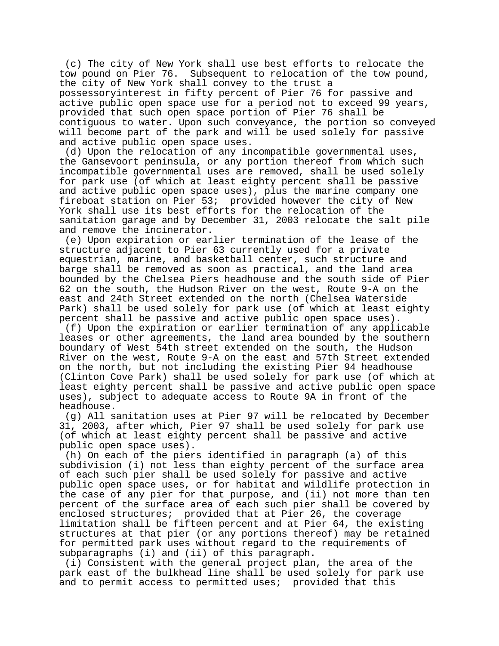(c) The city of New York shall use best efforts to relocate the<br>tow pound on Pier 76. Subsequent to relocation of the tow pound Subsequent to relocation of the tow pound, the city of New York shall convey to the trust a possessoryinterest in fifty percent of Pier 76 for passive and active public open space use for a period not to exceed 99 years, provided that such open space portion of Pier 76 shall be contiguous to water. Upon such conveyance, the portion so conveyed will become part of the park and will be used solely for passive and active public open space uses.

 (d) Upon the relocation of any incompatible governmental uses, the Gansevoort peninsula, or any portion thereof from which such incompatible governmental uses are removed, shall be used solely for park use (of which at least eighty percent shall be passive and active public open space uses), plus the marine company one fireboat station on Pier 53; provided however the city of New York shall use its best efforts for the relocation of the sanitation garage and by December 31, 2003 relocate the salt pile and remove the incinerator.

 (e) Upon expiration or earlier termination of the lease of the structure adjacent to Pier 63 currently used for a private equestrian, marine, and basketball center, such structure and barge shall be removed as soon as practical, and the land area bounded by the Chelsea Piers headhouse and the south side of Pier 62 on the south, the Hudson River on the west, Route 9-A on the east and 24th Street extended on the north (Chelsea Waterside Park) shall be used solely for park use (of which at least eighty percent shall be passive and active public open space uses).

 (f) Upon the expiration or earlier termination of any applicable leases or other agreements, the land area bounded by the southern boundary of West 54th street extended on the south, the Hudson River on the west, Route 9-A on the east and 57th Street extended on the north, but not including the existing Pier 94 headhouse (Clinton Cove Park) shall be used solely for park use (of which at least eighty percent shall be passive and active public open space uses), subject to adequate access to Route 9A in front of the headhouse.

 (g) All sanitation uses at Pier 97 will be relocated by December 31, 2003, after which, Pier 97 shall be used solely for park use (of which at least eighty percent shall be passive and active public open space uses).

 (h) On each of the piers identified in paragraph (a) of this subdivision (i) not less than eighty percent of the surface area of each such pier shall be used solely for passive and active public open space uses, or for habitat and wildlife protection in the case of any pier for that purpose, and (ii) not more than ten percent of the surface area of each such pier shall be covered by enclosed structures; provided that at Pier 26, the coverage limitation shall be fifteen percent and at Pier 64, the existing structures at that pier (or any portions thereof) may be retained for permitted park uses without regard to the requirements of subparagraphs (i) and (ii) of this paragraph.

 (i) Consistent with the general project plan, the area of the park east of the bulkhead line shall be used solely for park use and to permit access to permitted uses; provided that this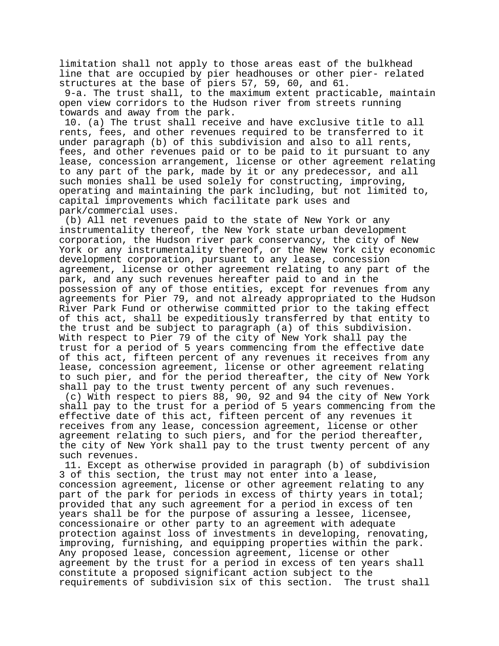limitation shall not apply to those areas east of the bulkhead line that are occupied by pier headhouses or other pier- related structures at the base of piers 57, 59, 60, and 61.

 9-a. The trust shall, to the maximum extent practicable, maintain open view corridors to the Hudson river from streets running towards and away from the park.

 10. (a) The trust shall receive and have exclusive title to all rents, fees, and other revenues required to be transferred to it under paragraph (b) of this subdivision and also to all rents, fees, and other revenues paid or to be paid to it pursuant to any lease, concession arrangement, license or other agreement relating to any part of the park, made by it or any predecessor, and all such monies shall be used solely for constructing, improving, operating and maintaining the park including, but not limited to, capital improvements which facilitate park uses and park/commercial uses.

 (b) All net revenues paid to the state of New York or any instrumentality thereof, the New York state urban development corporation, the Hudson river park conservancy, the city of New York or any instrumentality thereof, or the New York city economic development corporation, pursuant to any lease, concession agreement, license or other agreement relating to any part of the park, and any such revenues hereafter paid to and in the possession of any of those entities, except for revenues from any agreements for Pier 79, and not already appropriated to the Hudson River Park Fund or otherwise committed prior to the taking effect of this act, shall be expeditiously transferred by that entity to the trust and be subject to paragraph (a) of this subdivision. With respect to Pier 79 of the city of New York shall pay the trust for a period of 5 years commencing from the effective date of this act, fifteen percent of any revenues it receives from any lease, concession agreement, license or other agreement relating to such pier, and for the period thereafter, the city of New York shall pay to the trust twenty percent of any such revenues.

 (c) With respect to piers 88, 90, 92 and 94 the city of New York shall pay to the trust for a period of 5 years commencing from the effective date of this act, fifteen percent of any revenues it receives from any lease, concession agreement, license or other agreement relating to such piers, and for the period thereafter, the city of New York shall pay to the trust twenty percent of any such revenues.

 11. Except as otherwise provided in paragraph (b) of subdivision 3 of this section, the trust may not enter into a lease, concession agreement, license or other agreement relating to any part of the park for periods in excess of thirty years in total; provided that any such agreement for a period in excess of ten years shall be for the purpose of assuring a lessee, licensee, concessionaire or other party to an agreement with adequate protection against loss of investments in developing, renovating, improving, furnishing, and equipping properties within the park. Any proposed lease, concession agreement, license or other agreement by the trust for a period in excess of ten years shall constitute a proposed significant action subject to the requirements of subdivision six of this section. The trust shall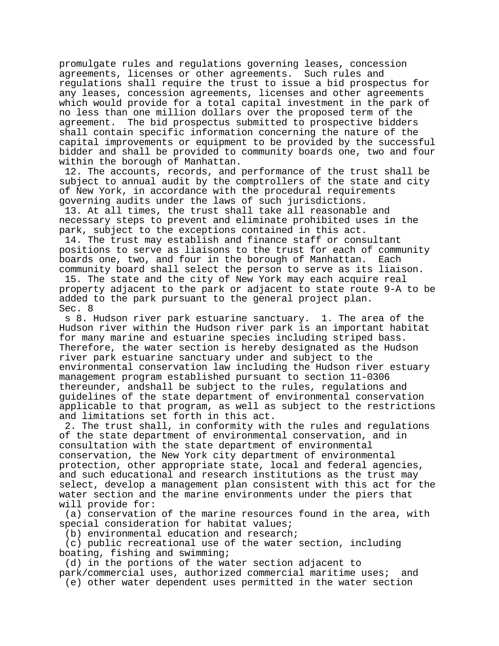promulgate rules and regulations governing leases, concession agreements, licenses or other agreements. Such rules and regulations shall require the trust to issue a bid prospectus for any leases, concession agreements, licenses and other agreements which would provide for a total capital investment in the park of no less than one million dollars over the proposed term of the agreement. The bid prospectus submitted to prospective bidders shall contain specific information concerning the nature of the capital improvements or equipment to be provided by the successful bidder and shall be provided to community boards one, two and four within the borough of Manhattan.

 12. The accounts, records, and performance of the trust shall be subject to annual audit by the comptrollers of the state and city of New York, in accordance with the procedural requirements governing audits under the laws of such jurisdictions.

 13. At all times, the trust shall take all reasonable and necessary steps to prevent and eliminate prohibited uses in the park, subject to the exceptions contained in this act.

 14. The trust may establish and finance staff or consultant positions to serve as liaisons to the trust for each of community boards one, two, and four in the borough of Manhattan. Each community board shall select the person to serve as its liaison.

 15. The state and the city of New York may each acquire real property adjacent to the park or adjacent to state route 9-A to be added to the park pursuant to the general project plan. Sec. 8

 s 8. Hudson river park estuarine sanctuary. 1. The area of the Hudson river within the Hudson river park is an important habitat for many marine and estuarine species including striped bass. Therefore, the water section is hereby designated as the Hudson river park estuarine sanctuary under and subject to the environmental conservation law including the Hudson river estuary management program established pursuant to section 11-0306 thereunder, andshall be subject to the rules, regulations and guidelines of the state department of environmental conservation applicable to that program, as well as subject to the restrictions and limitations set forth in this act.

 2. The trust shall, in conformity with the rules and regulations of the state department of environmental conservation, and in consultation with the state department of environmental conservation, the New York city department of environmental protection, other appropriate state, local and federal agencies, and such educational and research institutions as the trust may select, develop a management plan consistent with this act for the water section and the marine environments under the piers that will provide for:

 (a) conservation of the marine resources found in the area, with special consideration for habitat values;

(b) environmental education and research;

 (c) public recreational use of the water section, including boating, fishing and swimming;

 (d) in the portions of the water section adjacent to park/commercial uses, authorized commercial maritime uses; and

(e) other water dependent uses permitted in the water section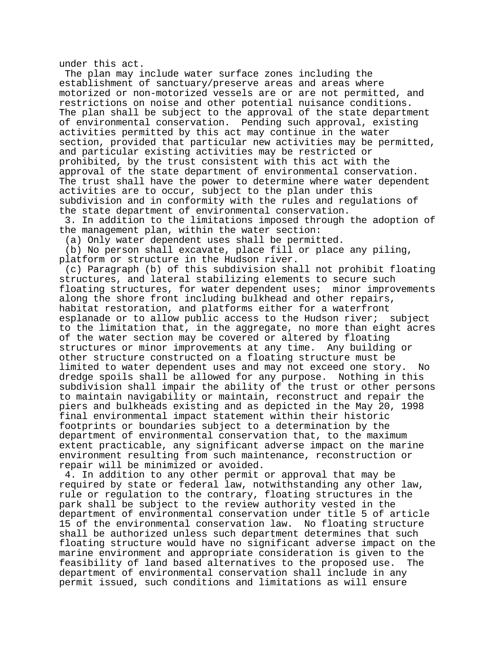under this act.

 The plan may include water surface zones including the establishment of sanctuary/preserve areas and areas where motorized or non-motorized vessels are or are not permitted, and restrictions on noise and other potential nuisance conditions. The plan shall be subject to the approval of the state department of environmental conservation. Pending such approval, existing activities permitted by this act may continue in the water section, provided that particular new activities may be permitted, and particular existing activities may be restricted or prohibited, by the trust consistent with this act with the approval of the state department of environmental conservation. The trust shall have the power to determine where water dependent activities are to occur, subject to the plan under this subdivision and in conformity with the rules and regulations of the state department of environmental conservation.

 3. In addition to the limitations imposed through the adoption of the management plan, within the water section:

(a) Only water dependent uses shall be permitted.

 (b) No person shall excavate, place fill or place any piling, platform or structure in the Hudson river.

 (c) Paragraph (b) of this subdivision shall not prohibit floating structures, and lateral stabilizing elements to secure such floating structures, for water dependent uses; minor improvements along the shore front including bulkhead and other repairs, habitat restoration, and platforms either for a waterfront esplanade or to allow public access to the Hudson river; subject to the limitation that, in the aggregate, no more than eight acres of the water section may be covered or altered by floating structures or minor improvements at any time. Any building or other structure constructed on a floating structure must be limited to water dependent uses and may not exceed one story. No dredge spoils shall be allowed for any purpose. Nothing in this subdivision shall impair the ability of the trust or other persons to maintain navigability or maintain, reconstruct and repair the piers and bulkheads existing and as depicted in the May 20, 1998 final environmental impact statement within their historic footprints or boundaries subject to a determination by the department of environmental conservation that, to the maximum extent practicable, any significant adverse impact on the marine environment resulting from such maintenance, reconstruction or repair will be minimized or avoided.

 4. In addition to any other permit or approval that may be required by state or federal law, notwithstanding any other law, rule or regulation to the contrary, floating structures in the park shall be subject to the review authority vested in the department of environmental conservation under title 5 of article 15 of the environmental conservation law. No floating structure shall be authorized unless such department determines that such floating structure would have no significant adverse impact on the marine environment and appropriate consideration is given to the feasibility of land based alternatives to the proposed use. The department of environmental conservation shall include in any permit issued, such conditions and limitations as will ensure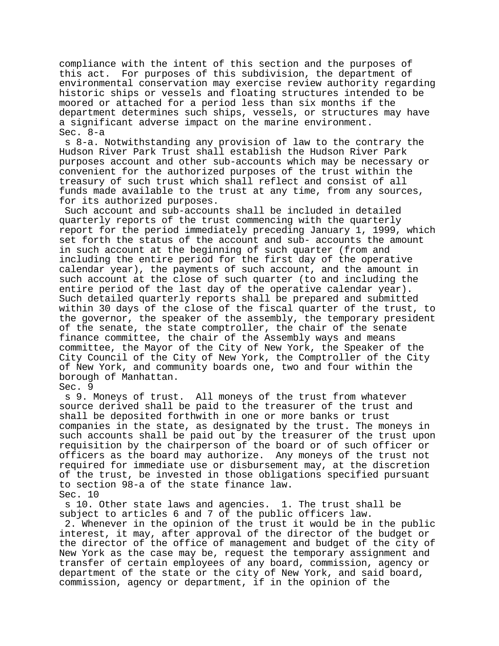compliance with the intent of this section and the purposes of this act. For purposes of this subdivision, the department of environmental conservation may exercise review authority regarding historic ships or vessels and floating structures intended to be moored or attached for a period less than six months if the department determines such ships, vessels, or structures may have a significant adverse impact on the marine environment. Sec. 8-a

 s 8-a. Notwithstanding any provision of law to the contrary the Hudson River Park Trust shall establish the Hudson River Park purposes account and other sub-accounts which may be necessary or convenient for the authorized purposes of the trust within the treasury of such trust which shall reflect and consist of all funds made available to the trust at any time, from any sources, for its authorized purposes.

 Such account and sub-accounts shall be included in detailed quarterly reports of the trust commencing with the quarterly report for the period immediately preceding January 1, 1999, which set forth the status of the account and sub- accounts the amount in such account at the beginning of such quarter (from and including the entire period for the first day of the operative calendar year), the payments of such account, and the amount in such account at the close of such quarter (to and including the entire period of the last day of the operative calendar year). Such detailed quarterly reports shall be prepared and submitted within 30 days of the close of the fiscal quarter of the trust, to the governor, the speaker of the assembly, the temporary president of the senate, the state comptroller, the chair of the senate finance committee, the chair of the Assembly ways and means committee, the Mayor of the City of New York, the Speaker of the City Council of the City of New York, the Comptroller of the City of New York, and community boards one, two and four within the borough of Manhattan.

Sec. 9

 s 9. Moneys of trust. All moneys of the trust from whatever source derived shall be paid to the treasurer of the trust and shall be deposited forthwith in one or more banks or trust companies in the state, as designated by the trust. The moneys in such accounts shall be paid out by the treasurer of the trust upon requisition by the chairperson of the board or of such officer or officers as the board may authorize. Any moneys of the trust not required for immediate use or disbursement may, at the discretion of the trust, be invested in those obligations specified pursuant to section 98-a of the state finance law. Sec. 10

 s 10. Other state laws and agencies. 1. The trust shall be subject to articles 6 and 7 of the public officers law.

 2. Whenever in the opinion of the trust it would be in the public interest, it may, after approval of the director of the budget or the director of the office of management and budget of the city of New York as the case may be, request the temporary assignment and transfer of certain employees of any board, commission, agency or department of the state or the city of New York, and said board, commission, agency or department, if in the opinion of the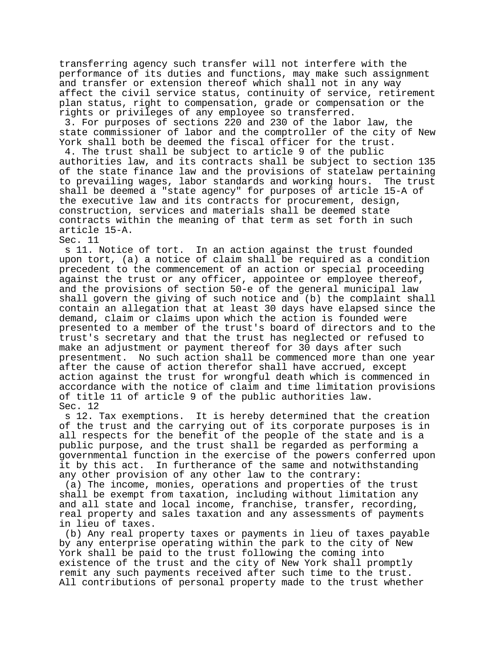transferring agency such transfer will not interfere with the performance of its duties and functions, may make such assignment and transfer or extension thereof which shall not in any way affect the civil service status, continuity of service, retirement plan status, right to compensation, grade or compensation or the rights or privileges of any employee so transferred.

 3. For purposes of sections 220 and 230 of the labor law, the state commissioner of labor and the comptroller of the city of New York shall both be deemed the fiscal officer for the trust.

 4. The trust shall be subject to article 9 of the public authorities law, and its contracts shall be subject to section 135 of the state finance law and the provisions of statelaw pertaining<br>to prevailing wages, labor standards and working hours. The trust to prevailing wages, labor standards and working hours. shall be deemed a "state agency" for purposes of article 15-A of the executive law and its contracts for procurement, design, construction, services and materials shall be deemed state contracts within the meaning of that term as set forth in such article 15-A.

Sec. 11<br>s 11. Notice of tort. In an action against the trust founded upon tort, (a) a notice of claim shall be required as a condition precedent to the commencement of an action or special proceeding against the trust or any officer, appointee or employee thereof, and the provisions of section 50-e of the general municipal law shall govern the giving of such notice and (b) the complaint shall contain an allegation that at least 30 days have elapsed since the demand, claim or claims upon which the action is founded were presented to a member of the trust's board of directors and to the trust's secretary and that the trust has neglected or refused to make an adjustment or payment thereof for 30 days after such presentment. No such action shall be commenced more than one year after the cause of action therefor shall have accrued, except action against the trust for wrongful death which is commenced in accordance with the notice of claim and time limitation provisions of title 11 of article 9 of the public authorities law. Sec. 12

 s 12. Tax exemptions. It is hereby determined that the creation of the trust and the carrying out of its corporate purposes is in all respects for the benefit of the people of the state and is a public purpose, and the trust shall be regarded as performing a governmental function in the exercise of the powers conferred upon it by this act. In furtherance of the same and notwithstanding any other provision of any other law to the contrary:

 (a) The income, monies, operations and properties of the trust shall be exempt from taxation, including without limitation any and all state and local income, franchise, transfer, recording, real property and sales taxation and any assessments of payments in lieu of taxes.

 (b) Any real property taxes or payments in lieu of taxes payable by any enterprise operating within the park to the city of New York shall be paid to the trust following the coming into existence of the trust and the city of New York shall promptly remit any such payments received after such time to the trust. All contributions of personal property made to the trust whether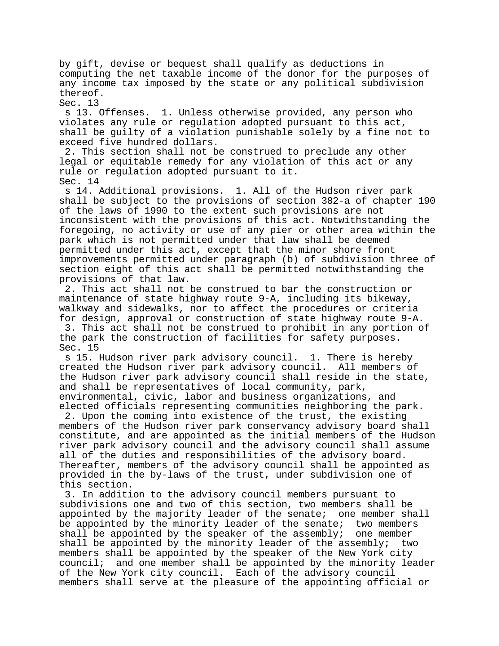by gift, devise or bequest shall qualify as deductions in computing the net taxable income of the donor for the purposes of any income tax imposed by the state or any political subdivision thereof.

Sec. 13

 s 13. Offenses. 1. Unless otherwise provided, any person who violates any rule or regulation adopted pursuant to this act, shall be guilty of a violation punishable solely by a fine not to exceed five hundred dollars.

 2. This section shall not be construed to preclude any other legal or equitable remedy for any violation of this act or any rule or regulation adopted pursuant to it. Sec. 14

 s 14. Additional provisions. 1. All of the Hudson river park shall be subject to the provisions of section 382-a of chapter 190 of the laws of 1990 to the extent such provisions are not inconsistent with the provisions of this act. Notwithstanding the foregoing, no activity or use of any pier or other area within the park which is not permitted under that law shall be deemed permitted under this act, except that the minor shore front improvements permitted under paragraph (b) of subdivision three of section eight of this act shall be permitted notwithstanding the provisions of that law.

 2. This act shall not be construed to bar the construction or maintenance of state highway route 9-A, including its bikeway, walkway and sidewalks, nor to affect the procedures or criteria for design, approval or construction of state highway route 9-A.

 3. This act shall not be construed to prohibit in any portion of the park the construction of facilities for safety purposes. Sec. 15

 s 15. Hudson river park advisory council. 1. There is hereby created the Hudson river park advisory council. All members of the Hudson river park advisory council shall reside in the state, and shall be representatives of local community, park, environmental, civic, labor and business organizations, and elected officials representing communities neighboring the park.

 2. Upon the coming into existence of the trust, the existing members of the Hudson river park conservancy advisory board shall constitute, and are appointed as the initial members of the Hudson river park advisory council and the advisory council shall assume all of the duties and responsibilities of the advisory board. Thereafter, members of the advisory council shall be appointed as provided in the by-laws of the trust, under subdivision one of this section.

 3. In addition to the advisory council members pursuant to subdivisions one and two of this section, two members shall be appointed by the majority leader of the senate; one member shall be appointed by the minority leader of the senate; two members shall be appointed by the speaker of the assembly; one member shall be appointed by the minority leader of the assembly; two members shall be appointed by the speaker of the New York city council; and one member shall be appointed by the minority leader of the New York city council. Each of the advisory council members shall serve at the pleasure of the appointing official or